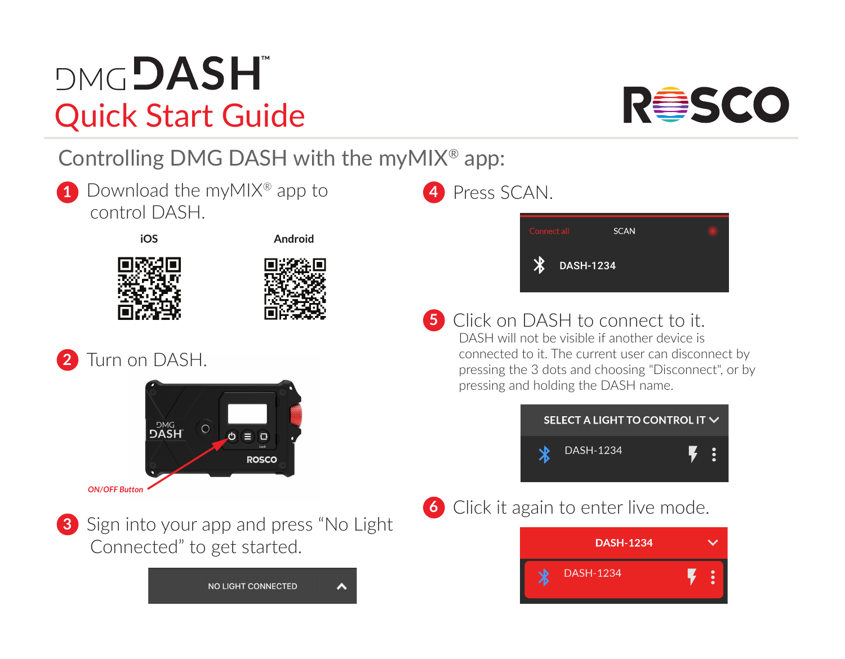## **DMGDASH** Quick Start Guide

Controlling DMG DASH with the myMIX® app:

Download the myMIX® app to **1 4** control DASH.



Android





Turn on DASH. **2**





**3** Sign into your app and press "No Light Connected" to get started.



## **4** Press SCAN.



**5** Click on DASH to connect to it.<br>DASH will not be visible if another device is connected to it. The current user can disconnect by pressing the 3 dots and choosing "Disconnect", or by pressing and holding the DASH name.



**6** Click it again to enter live mode.